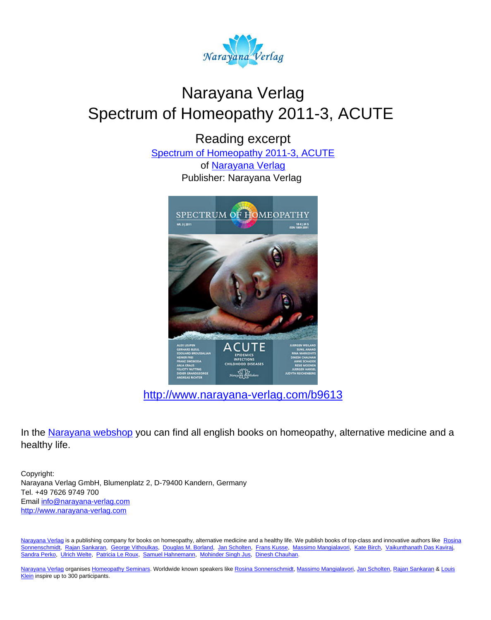

# Narayana Verlag Spectrum of Homeopathy 2011-3, ACUTE

Reading excerpt

[Spectrum of Homeopathy 2011-3, ACUTE](http://www.narayana-verlag.com/Spectrum-of-Homeopathy-2011-3-ACUTE-Narayana-Verlag/b9613/partner/leseprobe) of [Narayana Verlag](http://www.narayana-verlag.com/Narayana-Verlag/a595/partner/leseprobe) Publisher: Narayana Verlag



[http://www.narayana-verlag.com/b9613](http://www.narayana-verlag.com/Spectrum-of-Homeopathy-2011-3-ACUTE-Narayana-Verlag/b9613/partner/leseprobe)

In the [Narayana webshop](http://www.narayana-verlag.com/partner/leseprobe) you can find all english books on homeopathy, alternative medicine and a healthy life.

Copyright: Narayana Verlag GmbH, Blumenplatz 2, D-79400 Kandern, Germany Tel. +49 7626 9749 700 Email [info@narayana-verlag.com](mailto:info@narayana-verlag.com) [http://www.narayana-verlag.com](http://www.narayana-verlag.com/partner/leseprobe)

[Narayana Verlag](http://www.narayana-verlag.com/partner/leseprobe) is a publishing company for books on homeopathy, alternative medicine and a healthy life. We publish books of top-class and innovative authors like [Rosina](http://www.narayana-verlag.com/Rosina-Sonnenschmidt/a835/partner/leseprobe) [Sonnenschmidt,](http://www.narayana-verlag.com/Rosina-Sonnenschmidt/a835/partner/leseprobe) [Rajan Sankaran,](http://www.narayana-verlag.com/Rajan-Sankaran/a747/partner/leseprobe) [George Vithoulkas](http://www.narayana-verlag.com/George-Vithoulkas/a917/partner/leseprobe), [Douglas M. Borland,](http://www.narayana-verlag.com/Douglas-M-Borland/a86/partner/leseprobe) [Jan Scholten,](http://www.narayana-verlag.com/Jan-Scholten/a777/partner/leseprobe) [Frans Kusse,](http://www.narayana-verlag.com/Frans-Kusse/a1305/partner/leseprobe) [Massimo Mangialavori](http://www.narayana-verlag.com/Massimo-Mangialavori/a538/partner/leseprobe), [Kate Birch,](http://www.narayana-verlag.com/Kate-Birch/a1439/partner/leseprobe) [Vaikunthanath Das Kaviraj,](http://www.narayana-verlag.com/Vaikunthanath-Das-Kaviraj/a1476/partner/leseprobe) [Sandra Perko](http://www.narayana-verlag.com/Sandra-Perko/a642/partner/leseprobe), [Ulrich Welte,](http://www.narayana-verlag.com/Ulrich-Welte/a935/partner/leseprobe) [Patricia Le Roux](http://www.narayana-verlag.com/Patricia-Le-Roux/a1230/partner/leseprobe), [Samuel Hahnemann,](http://www.narayana-verlag.com/Samuel-Hahnemann/a329/partner/leseprobe) [Mohinder Singh Jus](http://www.narayana-verlag.com/Mohinder-Singh-Jus/a417/partner/leseprobe), [Dinesh Chauhan](http://www.narayana-verlag.com/Dinesh-Chauhan/a123/partner/leseprobe).

[Narayana Verlag](http://www.narayana-verlag.com/partner/leseprobe) organises [Homeopathy Seminars](http://www.narayana-verlag.com/Seminare/c162/partner/leseprobe). Worldwide known speakers like [Rosina Sonnenschmidt,](http://www.narayana-verlag.com/Rosina-Sonnenschmidt/a835/partner/leseprobe) [Massimo Mangialavori](http://www.narayana-verlag.com/Massimo-Mangialavori/a538/partner/leseprobe), [Jan Scholten,](http://www.narayana-verlag.com/Jan-Scholten/a777/partner/leseprobe) [Rajan Sankaran](http://www.narayana-verlag.com/Rajan-Sankaran/a747/partner/leseprobe) & [Louis](http://www.narayana-verlag.com/Louis-Klein/a450/partner/leseprobe) [Klein](http://www.narayana-verlag.com/Louis-Klein/a450/partner/leseprobe) inspire up to 300 participants.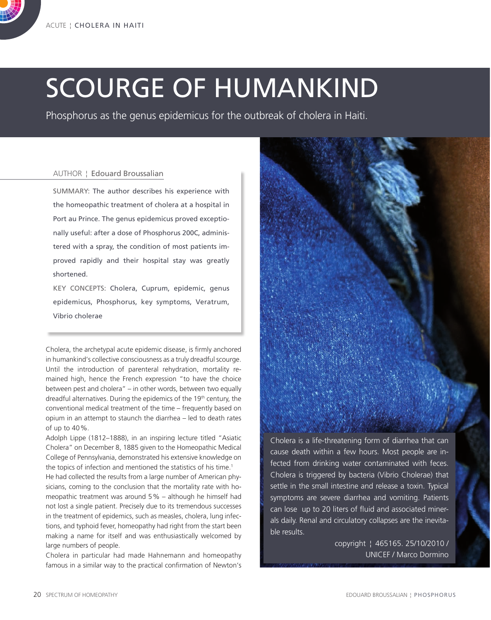# SCOURGE OF HUMANKIND

Phosphorus as the genus epidemicus for the outbreak of cholera in Haiti.

# Author ¦ Edouard Broussalian

summary: The author describes his experience with the homeopathic treatment of cholera at a hospital in Port au Prince. The genus epidemicus proved exceptionally useful: after a dose of Phosphorus 200C, administered with a spray, the condition of most patients improved rapidly and their hospital stay was greatly shortened.

KEY CONCEPTS: Cholera, Cuprum, epidemic, genus epidemicus, Phosphorus, key symptoms, Veratrum, Vibrio cholerae

Cholera, the archetypal acute epidemic disease, is firmly anchored in humankind's collective consciousness as a truly dreadful scourge. Until the introduction of parenteral rehydration, mortality remained high, hence the French expression "to have the choice between pest and cholera" – in other words, between two equally dreadful alternatives. During the epidemics of the 19<sup>th</sup> century, the conventional medical treatment of the time – frequently based on opium in an attempt to staunch the diarrhea – led to death rates of up to 40%.

Adolph Lippe (1812–1888), in an inspiring lecture titled "Asiatic Cholera" on December 8, 1885 given to the Homeopathic Medical College of Pennsylvania, demonstrated his extensive knowledge on the topics of infection and mentioned the statistics of his time.<sup>1</sup>

He had collected the results from a large number of American physicians, coming to the conclusion that the mortality rate with homeopathic treatment was around 5% – although he himself had not lost a single patient. Precisely due to its tremendous successes in the treatment of epidemics, such as measles, cholera, lung infections, and typhoid fever, homeopathy had right from the start been making a name for itself and was enthusiastically welcomed by large numbers of people.

Cholera in particular had made Hahnemann and homeopathy famous in a similar way to the practical confirmation of Newton's



Cholera is a life-threatening form of diarrhea that can cause death within a few hours. Most people are infected from drinking water contaminated with feces. Cholera is triggered by bacteria (Vibrio Cholerae) that settle in the small intestine and release a toxin. Typical symptoms are severe diarrhea and vomiting. Patients can lose up to 20 liters of fluid and associated minerals daily. Renal and circulatory collapses are the inevitable results.

> copyright ¦ 465165. 25/10/2010 / UNICEF / Marco Dormino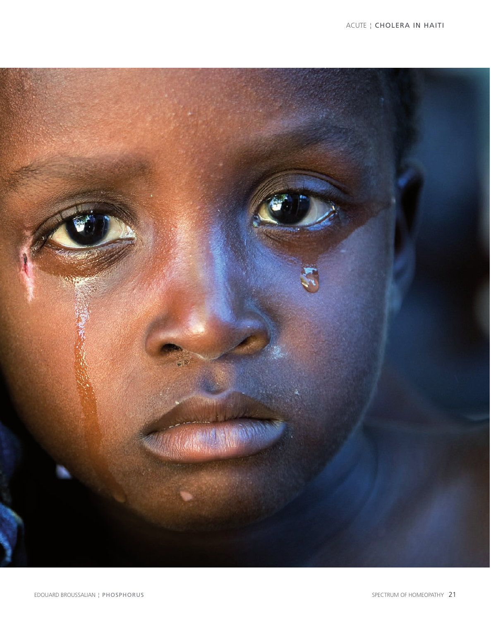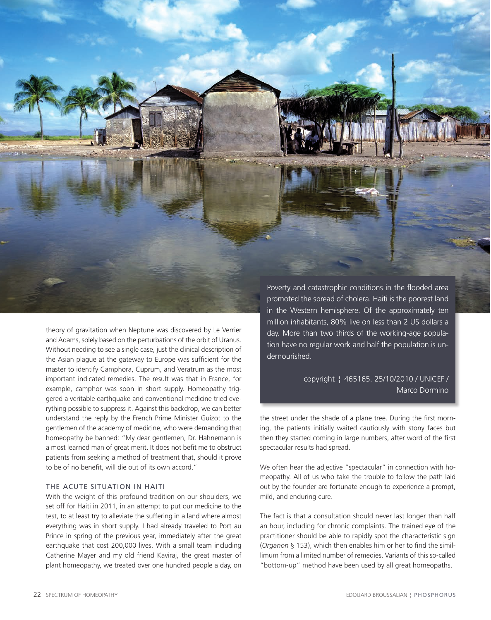

theory of gravitation when Neptune was discovered by Le Verrier and Adams, solely based on the perturbations of the orbit of Uranus. Without needing to see a single case, just the clinical description of the Asian plague at the gateway to Europe was sufficient for the master to identify Camphora, Cuprum, and Veratrum as the most important indicated remedies. The result was that in France, for example, camphor was soon in short supply. Homeopathy triggered a veritable earthquake and conventional medicine tried everything possible to suppress it. Against this backdrop, we can better understand the reply by the French Prime Minister Guizot to the gentlemen of the academy of medicine, who were demanding that homeopathy be banned: "My dear gentlemen, Dr. Hahnemann is a most learned man of great merit. It does not befit me to obstruct patients from seeking a method of treatment that, should it prove to be of no benefit, will die out of its own accord."

# THE ACUTE SITUATION IN HAITI

With the weight of this profound tradition on our shoulders, we set off for Haiti in 2011, in an attempt to put our medicine to the test, to at least try to alleviate the suffering in a land where almost everything was in short supply. I had already traveled to Port au Prince in spring of the previous year, immediately after the great earthquake that cost 200,000 lives. With a small team including Catherine Mayer and my old friend Kaviraj, the great master of plant homeopathy, we treated over one hundred people a day, on

in the Western hemisphere. Of the approximately ten million inhabitants, 80% live on less than 2 US dollars a day. More than two thirds of the working-age population have no regular work and half the population is undernourished.

# copyright ¦ 465165. 25/10/2010 / UNICEF / Marco Dormino

the street under the shade of a plane tree. During the first morning, the patients initially waited cautiously with stony faces but then they started coming in large numbers, after word of the first spectacular results had spread.

We often hear the adjective "spectacular" in connection with homeopathy. All of us who take the trouble to follow the path laid out by the founder are fortunate enough to experience a prompt, mild, and enduring cure.

The fact is that a consultation should never last longer than half an hour, including for chronic complaints. The trained eye of the practitioner should be able to rapidly spot the characteristic sign (*Organon* § 153), which then enables him or her to find the simillimum from a limited number of remedies. Variants of this so-called "bottom-up" method have been used by all great homeopaths.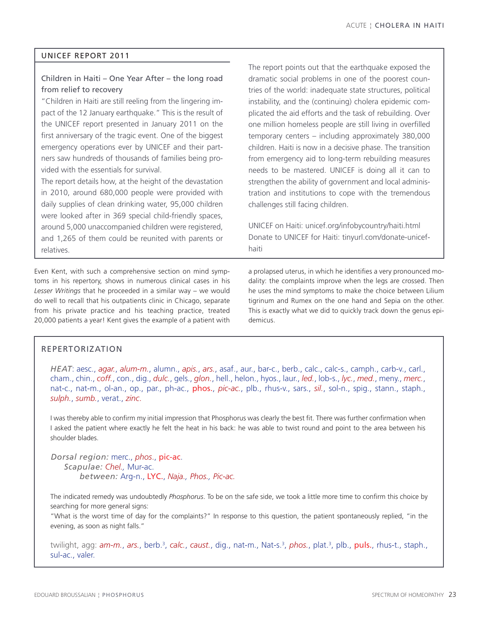## UNICEF REPORT 2011

# Children in Haiti – One Year After – the long road from relief to recovery

"Children in Haiti are still reeling from the lingering impact of the 12 January earthquake." This is the result of the UNICEF report presented in January 2011 on the first anniversary of the tragic event. One of the biggest emergency operations ever by UNICEF and their partners saw hundreds of thousands of families being provided with the essentials for survival.

The report details how, at the height of the devastation in 2010, around 680,000 people were provided with daily supplies of clean drinking water, 95,000 children were looked after in 369 special child-friendly spaces, around 5,000 unaccompanied children were registered, and 1,265 of them could be reunited with parents or relatives.

Even Kent, with such a comprehensive section on mind symptoms in his repertory, shows in numerous clinical cases in his *Lesser Writings* that he proceeded in a similar way – we would do well to recall that his outpatients clinic in Chicago, separate from his private practice and his teaching practice, treated 20,000 patients a year! Kent gives the example of a patient with The report points out that the earthquake exposed the dramatic social problems in one of the poorest countries of the world: inadequate state structures, political instability, and the (continuing) cholera epidemic complicated the aid efforts and the task of rebuilding. Over one million homeless people are still living in overfilled temporary centers – including approximately 380,000 children. Haiti is now in a decisive phase. The transition from emergency aid to long-term rebuilding measures needs to be mastered. UNICEF is doing all it can to strengthen the ability of government and local administration and institutions to cope with the tremendous challenges still facing children.

UNICEF on Haiti: unicef.org/infobycountry/haiti.html Donate to UNICEF for Haiti: tinyurl.com/donate-unicefhaiti

a prolapsed uterus, in which he identifies a very pronounced modality: the complaints improve when the legs are crossed. Then he uses the mind symptoms to make the choice between Lilium tigrinum and Rumex on the one hand and Sepia on the other. This is exactly what we did to quickly track down the genus epidemicus.

# Repertorization

*HEAT*: aesc., *agar.*, *alum-m.*, alumn., *apis.*, *ars.*, asaf., aur., bar-c., berb., calc., calc-s., camph., carb-v., carl., cham., chin., *coff.*, con., dig., *dulc.*, gels., *glon.*, hell., helon., hyos., laur., *led.*, lob-s., *lyc.*, *med.*, meny., *merc.*, nat-c., nat-m., ol-an., op., par., ph-ac., phos., *pic-ac.*, plb., rhus-v., sars., *sil.*, sol-n., spig., stann., staph., *sulph.*, *sumb.*, verat., *zinc*.

I was thereby able to confirm my initial impression that Phosphorus was clearly the best fit. There was further confirmation when I asked the patient where exactly he felt the heat in his back: he was able to twist round and point to the area between his shoulder blades.

*Dorsal region:* merc., *phos*., pic-ac. *Scapulae: Chel.,* Mur-ac.  *between:* Arg-n., LYC., *Naja., Phos., Pic-ac.*

The indicated remedy was undoubtedly *Phosphorus*. To be on the safe side, we took a little more time to confirm this choice by searching for more general signs:

"What is the worst time of day for the complaints?" In response to this question, the patient spontaneously replied, "in the evening, as soon as night falls."

twilight, agg: am-m., ars., berb.<sup>3</sup>, calc., caust., dig., nat-m., Nat-s.<sup>3</sup>, phos., plat.<sup>3</sup>, plb., **puls.**, rhus-t., staph., sul-ac., valer.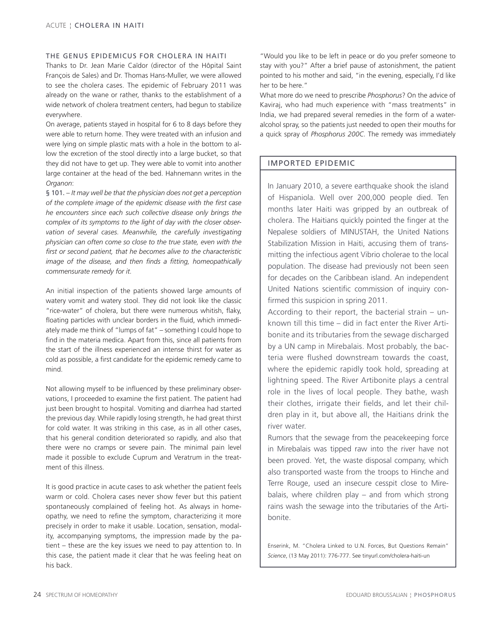#### THE GENUS EPIDEMICUS FOR CHOLERA IN HAITI

Thanks to Dr. Jean Marie Caïdor (director of the Hôpital Saint François de Sales) and Dr. Thomas Hans-Muller, we were allowed to see the cholera cases. The epidemic of February 2011 was already on the wane or rather, thanks to the establishment of a wide network of cholera treatment centers, had begun to stabilize everywhere.

On average, patients stayed in hospital for 6 to 8 days before they were able to return home. They were treated with an infusion and were lying on simple plastic mats with a hole in the bottom to allow the excretion of the stool directly into a large bucket, so that they did not have to get up. They were able to vomit into another large container at the head of the bed. Hahnemann writes in the *Organon*:

§ 101. – *It may well be that the physician does not get a perception of the complete image of the epidemic disease with the first case he encounters since each such collective disease only brings the complex of its symptoms to the light of day with the closer obser*vation of several cases. Meanwhile, the carefully investigating *physician can often come so close to the true state, even with the first or second patient, that he becomes alive to the characteristic image of the disease, and then finds a fitting, homeopathically commensurate remedy for it.*

An initial inspection of the patients showed large amounts of watery vomit and watery stool. They did not look like the classic "rice-water" of cholera, but there were numerous whitish, flaky, floating particles with unclear borders in the fluid, which immediately made me think of "lumps of fat" – something I could hope to find in the materia medica. Apart from this, since all patients from the start of the illness experienced an intense thirst for water as cold as possible, a first candidate for the epidemic remedy came to mind.

Not allowing myself to be influenced by these preliminary observations, I proceeded to examine the first patient. The patient had just been brought to hospital. Vomiting and diarrhea had started the previous day. While rapidly losing strength, he had great thirst for cold water. It was striking in this case, as in all other cases, that his general condition deteriorated so rapidly, and also that there were no cramps or severe pain. The minimal pain level made it possible to exclude Cuprum and Veratrum in the treatment of this illness.

It is good practice in acute cases to ask whether the patient feels warm or cold. Cholera cases never show fever but this patient spontaneously complained of feeling hot. As always in homeopathy, we need to refine the symptom, characterizing it more precisely in order to make it usable. Location, sensation, modality, accompanying symptoms, the impression made by the patient – these are the key issues we need to pay attention to. In this case, the patient made it clear that he was feeling heat on his back.

"Would you like to be left in peace or do you prefer someone to stay with you?" After a brief pause of astonishment, the patient pointed to his mother and said, "in the evening, especially, I'd like her to be here."

What more do we need to prescribe *Phosphorus*? On the advice of Kaviraj, who had much experience with "mass treatments" in India, we had prepared several remedies in the form of a wateralcohol spray, so the patients just needed to open their mouths for a quick spray of *Phosphorus 200C*. The remedy was immediately

# IMPORTED EPIDEMIC

In January 2010, a severe earthquake shook the island of Hispaniola. Well over 200,000 people died. Ten months later Haiti was gripped by an outbreak of cholera. The Haitians quickly pointed the finger at the Nepalese soldiers of MINUSTAH, the United Nations Stabilization Mission in Haiti, accusing them of transmitting the infectious agent Vibrio cholerae to the local population. The disease had previously not been seen for decades on the Caribbean island. An independent United Nations scientific commission of inquiry confirmed this suspicion in spring 2011.

According to their report, the bacterial strain – unknown till this time – did in fact enter the River Artibonite and its tributaries from the sewage discharged by a UN camp in Mirebalais. Most probably, the bacteria were flushed downstream towards the coast, where the epidemic rapidly took hold, spreading at lightning speed. The River Artibonite plays a central role in the lives of local people. They bathe, wash their clothes, irrigate their fields, and let their children play in it, but above all, the Haitians drink the river water.

Rumors that the sewage from the peacekeeping force in Mirebalais was tipped raw into the river have not been proved. Yet, the waste disposal company, which also transported waste from the troops to Hinche and Terre Rouge, used an insecure cesspit close to Mirebalais, where children play – and from which strong rains wash the sewage into the tributaries of the Artibonite.

Enserink, M. "Cholera Linked to U.N. Forces, But Questions Remain" *Science*, (13 May 2011): 776-777. See tinyurl.com/cholera-haiti-un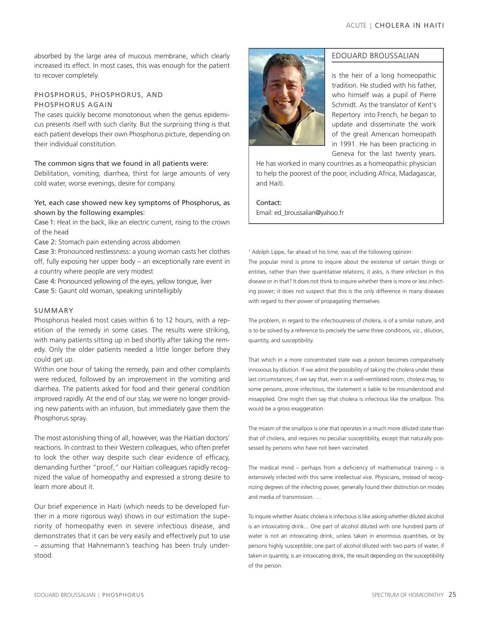absorbed by the large area of mucous membrane, which clearly increased its effect. In most cases, this was enough for the patient to recover completely.

## PHOSPHORUS, PHOSPHORUS, AND PHOSPHORUS AGAIN

The cases quickly become monotonous when the genus epidemicus presents itself with such clarity. But the surprising thing is that each patient develops their own Phosphorus picture, depending on their individual constitution.

#### The common signs that we found in all patients were:

Debilitation, vomiting, diarrhea, thirst for large amounts of very cold water, worse evenings, desire for company.

# Yet, each case showed new key symptoms of Phosphorus, as shown by the following examples:

Case 1: Heat in the back, like an electric current, rising to the crown of the head

Case 2: Stomach pain extending across abdomen

Case 3: Pronounced restlessness: a young woman casts her clothes off, fully exposing her upper body – an exceptionally rare event in a country where people are very modest

Case 4: Pronounced yellowing of the eyes, yellow tongue, liver Case 5: Gaunt old woman, speaking unintelligibly

#### SUMMARY

Phosphorus healed most cases within 6 to 12 hours, with a repetition of the remedy in some cases. The results were striking, with many patients sitting up in bed shortly after taking the remedy. Only the older patients needed a little longer before they could get up.

Within one hour of taking the remedy, pain and other complaints were reduced, followed by an improvement in the vomiting and diarrhea. The patients asked for food and their general condition improved rapidly. At the end of our stay, we were no longer providing new patients with an infusion, but immediately gave them the Phosphorus spray.

The most astonishing thing of all, however, was the Haitian doctors' reactions. In contrast to their Western colleagues, who often prefer to look the other way despite such clear evidence of efficacy, demanding further "proof," our Haitian colleagues rapidly recognized the value of homeopathy and expressed a strong desire to learn more about it.

Our brief experience in Haiti (which needs to be developed further in a more rigorous way) shows in our estimation the superiority of homeopathy even in severe infectious disease, and demonstrates that it can be very easily and effectively put to use – assuming that Hahnemann's teaching has been truly understood.



# Edouard Broussalian

is the heir of a long homeopathic tradition. He studied with his father, who himself was a pupil of Pierre Schmidt. As the translator of Kent's Repertory into French, he began to update and disseminate the work of the great American homeopath in 1991. He has been practicing in Geneva for the last twenty years.

He has worked in many countries as a homeopathic physician to help the poorest of the poor, including Africa, Madagascar, and Haiti.

Contact: Email: ed\_broussalian@yahoo.fr

<sup>1</sup> Adolph Lippe, far ahead of his time, was of the following opinion: The popular mind is prone to inquire about the existence of certain things or entities, rather than their quantitative relations; it asks, is there infection in this disease or in that? It does not think to inquire whether there is more or less infecting power; it does not suspect that this is the only difference in many diseases with regard to their power of propagating themselves.

The problem, in regard to the infectiousness of cholera, is of a similar nature, and is to be solved by a reference to precisely the same three conditions, viz., dilution, quantity, and susceptibility.

That which in a more concentrated state was a poison becomes comparatively innoxious by dilution. If we admit the possibility of taking the cholera under these last circumstances; if we say that, even in a well-ventilated room, cholera may, to some persons, prove infectious, the statement is liable to be misunderstood and misapplied. One might then say that cholera is infectious like the smallpox. This would be a gross exaggeration.

The miasm of the smallpox is one that operates in a much more diluted state than that of cholera, and requires no peculiar susceptibility, except that naturally possessed by persons who have not been vaccinated.

The medical mind – perhaps from a deficiency of mathematical training – is extensively infected with this same intellectual vice. Physicians, instead of recognizing degrees of the infecting power, generally found their distinction on modes and media of transmission. …

To inquire whether Asiatic cholera is infectious is like asking whether diluted alcohol is an intoxicating drink... One part of alcohol diluted with one hundred parts of water is not an intoxicating drink, unless taken in enormous quantities, or by persons highly susceptible; one part of alcohol diluted with two parts of water, if taken in quantity, is an intoxicating drink, the result depending on the susceptibility of the person.